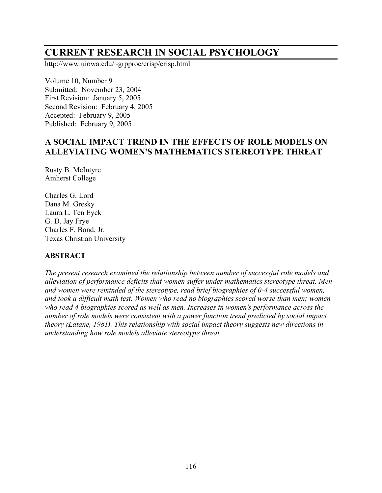# **CURRENT RESEARCH IN SOCIAL PSYCHOLOGY**

http://www.uiowa.edu/~grpproc/crisp/crisp.html

Volume 10, Number 9 Submitted: November 23, 2004 First Revision: January 5, 2005 Second Revision: February 4, 2005 Accepted: February 9, 2005 Published: February 9, 2005

## **A SOCIAL IMPACT TREND IN THE EFFECTS OF ROLE MODELS ON ALLEVIATING WOMEN'S MATHEMATICS STEREOTYPE THREAT**

Rusty B. McIntyre Amherst College

Charles G. Lord Dana M. Gresky Laura L. Ten Eyck G. D. Jay Frye Charles F. Bond, Jr. Texas Christian University

#### **ABSTRACT**

*The present research examined the relationship between number of successful role models and alleviation of performance deficits that women suffer under mathematics stereotype threat. Men and women were reminded of the stereotype, read brief biographies of 0-4 successful women, and took a difficult math test. Women who read no biographies scored worse than men; women who read 4 biographies scored as well as men. Increases in women's performance across the number of role models were consistent with a power function trend predicted by social impact theory (Latane, 1981). This relationship with social impact theory suggests new directions in understanding how role models alleviate stereotype threat.*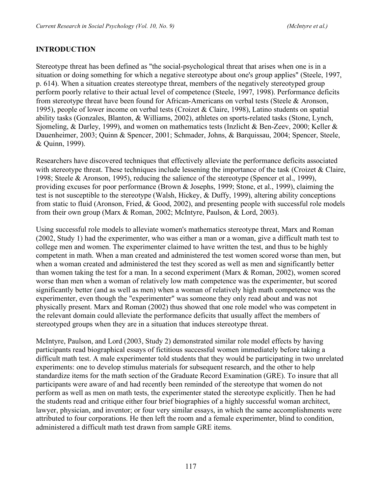### **INTRODUCTION**

Stereotype threat has been defined as "the social-psychological threat that arises when one is in a situation or doing something for which a negative stereotype about one's group applies" (Steele, 1997, p. 614). When a situation creates stereotype threat, members of the negatively stereotyped group perform poorly relative to their actual level of competence (Steele, 1997, 1998). Performance deficits from stereotype threat have been found for African-Americans on verbal tests (Steele & Aronson, 1995), people of lower income on verbal tests (Croizet & Claire, 1998), Latino students on spatial ability tasks (Gonzales, Blanton, & Williams, 2002), athletes on sports-related tasks (Stone, Lynch, Sjomeling, & Darley, 1999), and women on mathematics tests (Inzlicht & Ben-Zeev, 2000; Keller & Dauenheimer, 2003; Quinn & Spencer, 2001; Schmader, Johns, & Barquissau, 2004; Spencer, Steele, & Quinn, 1999).

Researchers have discovered techniques that effectively alleviate the performance deficits associated with stereotype threat. These techniques include lessening the importance of the task (Croizet  $\&$  Claire, 1998; Steele & Aronson, 1995), reducing the salience of the stereotype (Spencer et al., 1999), providing excuses for poor performance (Brown & Josephs, 1999; Stone, et al., 1999), claiming the test is not susceptible to the stereotype (Walsh, Hickey, & Duffy, 1999), altering ability conceptions from static to fluid (Aronson, Fried, & Good, 2002), and presenting people with successful role models from their own group (Marx & Roman, 2002; McIntyre, Paulson, & Lord, 2003).

Using successful role models to alleviate women's mathematics stereotype threat, Marx and Roman (2002, Study 1) had the experimenter, who was either a man or a woman, give a difficult math test to college men and women. The experimenter claimed to have written the test, and thus to be highly competent in math. When a man created and administered the test women scored worse than men, but when a woman created and administered the test they scored as well as men and significantly better than women taking the test for a man. In a second experiment (Marx & Roman, 2002), women scored worse than men when a woman of relatively low math competence was the experimenter, but scored significantly better (and as well as men) when a woman of relatively high math competence was the experimenter, even though the "experimenter" was someone they only read about and was not physically present. Marx and Roman (2002) thus showed that one role model who was competent in the relevant domain could alleviate the performance deficits that usually affect the members of stereotyped groups when they are in a situation that induces stereotype threat.

McIntyre, Paulson, and Lord (2003, Study 2) demonstrated similar role model effects by having participants read biographical essays of fictitious successful women immediately before taking a difficult math test. A male experimenter told students that they would be participating in two unrelated experiments: one to develop stimulus materials for subsequent research, and the other to help standardize items for the math section of the Graduate Record Examination (GRE). To insure that all participants were aware of and had recently been reminded of the stereotype that women do not perform as well as men on math tests, the experimenter stated the stereotype explicitly. Then he had the students read and critique either four brief biographies of a highly successful woman architect, lawyer, physician, and inventor; or four very similar essays, in which the same accomplishments were attributed to four corporations. He then left the room and a female experimenter, blind to condition, administered a difficult math test drawn from sample GRE items.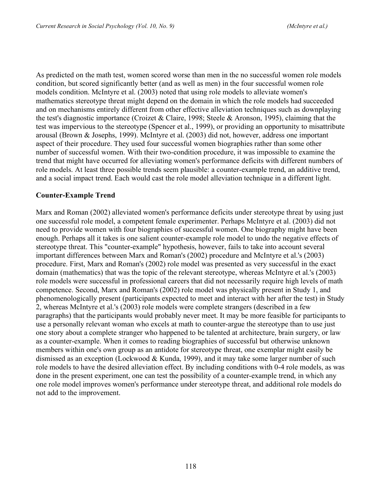As predicted on the math test, women scored worse than men in the no successful women role models condition, but scored significantly better (and as well as men) in the four successful women role models condition. McIntyre et al. (2003) noted that using role models to alleviate women's mathematics stereotype threat might depend on the domain in which the role models had succeeded and on mechanisms entirely different from other effective alleviation techniques such as downplaying the test's diagnostic importance (Croizet & Claire, 1998; Steele & Aronson, 1995), claiming that the test was impervious to the stereotype (Spencer et al., 1999), or providing an opportunity to misattribute arousal (Brown & Josephs, 1999). McIntyre et al. (2003) did not, however, address one important aspect of their procedure. They used four successful women biographies rather than some other number of successful women. With their two-condition procedure, it was impossible to examine the trend that might have occurred for alleviating women's performance deficits with different numbers of role models. At least three possible trends seem plausible: a counter-example trend, an additive trend, and a social impact trend. Each would cast the role model alleviation technique in a different light.

### **Counter-Example Trend**

Marx and Roman (2002) alleviated women's performance deficits under stereotype threat by using just one successful role model, a competent female experimenter. Perhaps McIntyre et al. (2003) did not need to provide women with four biographies of successful women. One biography might have been enough. Perhaps all it takes is one salient counter-example role model to undo the negative effects of stereotype threat. This "counter-example" hypothesis, however, fails to take into account several important differences between Marx and Roman's (2002) procedure and McIntyre et al.'s (2003) procedure. First, Marx and Roman's (2002) role model was presented as very successful in the exact domain (mathematics) that was the topic of the relevant stereotype, whereas McIntyre et al.'s (2003) role models were successful in professional careers that did not necessarily require high levels of math competence. Second, Marx and Roman's (2002) role model was physically present in Study 1, and phenomenologically present (participants expected to meet and interact with her after the test) in Study 2, whereas McIntyre et al.'s (2003) role models were complete strangers (described in a few paragraphs) that the participants would probably never meet. It may be more feasible for participants to use a personally relevant woman who excels at math to counter-argue the stereotype than to use just one story about a complete stranger who happened to be talented at architecture, brain surgery, or law as a counter-example. When it comes to reading biographies of successful but otherwise unknown members within one's own group as an antidote for stereotype threat, one exemplar might easily be dismissed as an exception (Lockwood & Kunda, 1999), and it may take some larger number of such role models to have the desired alleviation effect. By including conditions with 0-4 role models, as was done in the present experiment, one can test the possibility of a counter-example trend, in which any one role model improves women's performance under stereotype threat, and additional role models do not add to the improvement.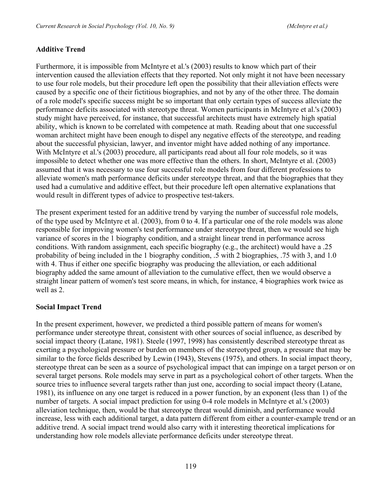#### **Additive Trend**

Furthermore, it is impossible from McIntyre et al.'s (2003) results to know which part of their intervention caused the alleviation effects that they reported. Not only might it not have been necessary to use four role models, but their procedure left open the possibility that their alleviation effects were caused by a specific one of their fictitious biographies, and not by any of the other three. The domain of a role model's specific success might be so important that only certain types of success alleviate the performance deficits associated with stereotype threat. Women participants in McIntyre et al.'s (2003) study might have perceived, for instance, that successful architects must have extremely high spatial ability, which is known to be correlated with competence at math. Reading about that one successful woman architect might have been enough to dispel any negative effects of the stereotype, and reading about the successful physician, lawyer, and inventor might have added nothing of any importance. With McIntyre et al.'s (2003) procedure, all participants read about all four role models, so it was impossible to detect whether one was more effective than the others. In short, McIntyre et al. (2003) assumed that it was necessary to use four successful role models from four different professions to alleviate women's math performance deficits under stereotype threat, and that the biographies that they used had a cumulative and additive effect, but their procedure left open alternative explanations that would result in different types of advice to prospective test-takers.

The present experiment tested for an additive trend by varying the number of successful role models, of the type used by McIntyre et al. (2003), from 0 to 4. If a particular one of the role models was alone responsible for improving women's test performance under stereotype threat, then we would see high variance of scores in the 1 biography condition, and a straight linear trend in performance across conditions. With random assignment, each specific biography (e.g., the architect) would have a .25 probability of being included in the 1 biography condition, .5 with 2 biographies, .75 with 3, and 1.0 with 4. Thus if either one specific biography was producing the alleviation, or each additional biography added the same amount of alleviation to the cumulative effect, then we would observe a straight linear pattern of women's test score means, in which, for instance, 4 biographies work twice as well as 2

#### **Social Impact Trend**

In the present experiment, however, we predicted a third possible pattern of means for women's performance under stereotype threat, consistent with other sources of social influence, as described by social impact theory (Latane, 1981). Steele (1997, 1998) has consistently described stereotype threat as exerting a psychological pressure or burden on members of the stereotyped group, a pressure that may be similar to the force fields described by Lewin (1943), Stevens (1975), and others. In social impact theory, stereotype threat can be seen as a source of psychological impact that can impinge on a target person or on several target persons. Role models may serve in part as a psychological cohort of other targets. When the source tries to influence several targets rather than just one, according to social impact theory (Latane, 1981), its influence on any one target is reduced in a power function, by an exponent (less than 1) of the number of targets. A social impact prediction for using 0-4 role models in McIntyre et al.'s (2003) alleviation technique, then, would be that stereotype threat would diminish, and performance would increase, less with each additional target, a data pattern different from either a counter-example trend or an additive trend. A social impact trend would also carry with it interesting theoretical implications for understanding how role models alleviate performance deficits under stereotype threat.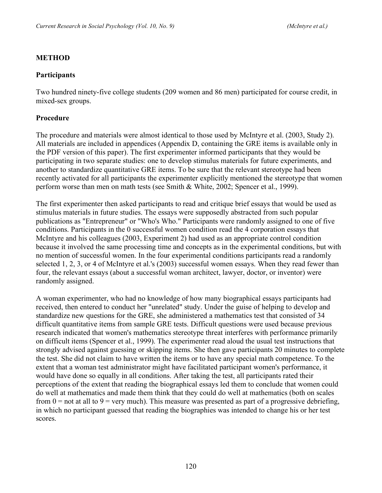#### **METHOD**

#### **Participants**

Two hundred ninety-five college students (209 women and 86 men) participated for course credit, in mixed-sex groups.

#### **Procedure**

The procedure and materials were almost identical to those used by McIntyre et al. (2003, Study 2). All materials are included in appendices (Appendix D, containing the GRE items is available only in the PDF version of this paper). The first experimenter informed participants that they would be participating in two separate studies: one to develop stimulus materials for future experiments, and another to standardize quantitative GRE items. To be sure that the relevant stereotype had been recently activated for all participants the experimenter explicitly mentioned the stereotype that women perform worse than men on math tests (see Smith & White, 2002; Spencer et al., 1999).

The first experimenter then asked participants to read and critique brief essays that would be used as stimulus materials in future studies. The essays were supposedly abstracted from such popular publications as "Entrepreneur" or "Who's Who." Participants were randomly assigned to one of five conditions. Participants in the 0 successful women condition read the 4 corporation essays that McIntyre and his colleagues (2003, Experiment 2) had used as an appropriate control condition because it involved the same processing time and concepts as in the experimental conditions, but with no mention of successful women. In the four experimental conditions participants read a randomly selected 1, 2, 3, or 4 of McIntyre et al.'s (2003) successful women essays. When they read fewer than four, the relevant essays (about a successful woman architect, lawyer, doctor, or inventor) were randomly assigned.

A woman experimenter, who had no knowledge of how many biographical essays participants had received, then entered to conduct her "unrelated" study. Under the guise of helping to develop and standardize new questions for the GRE, she administered a mathematics test that consisted of 34 difficult quantitative items from sample GRE tests. Difficult questions were used because previous research indicated that women's mathematics stereotype threat interferes with performance primarily on difficult items (Spencer et al., 1999). The experimenter read aloud the usual test instructions that strongly advised against guessing or skipping items. She then gave participants 20 minutes to complete the test. She did not claim to have written the items or to have any special math competence. To the extent that a woman test administrator might have facilitated participant women's performance, it would have done so equally in all conditions. After taking the test, all participants rated their perceptions of the extent that reading the biographical essays led them to conclude that women could do well at mathematics and made them think that they could do well at mathematics (both on scales from  $0 =$  not at all to  $9 =$  very much). This measure was presented as part of a progressive debriefing, in which no participant guessed that reading the biographies was intended to change his or her test scores.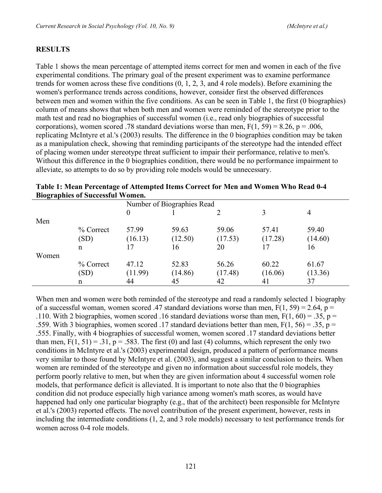### **RESULTS**

Table 1 shows the mean percentage of attempted items correct for men and women in each of the five experimental conditions. The primary goal of the present experiment was to examine performance trends for women across these five conditions (0, 1, 2, 3, and 4 role models). Before examining the women's performance trends across conditions, however, consider first the observed differences between men and women within the five conditions. As can be seen in Table 1, the first (0 biographies) column of means shows that when both men and women were reminded of the stereotype prior to the math test and read no biographies of successful women (i.e., read only biographies of successful corporations), women scored .78 standard deviations worse than men,  $F(1, 59) = 8.26$ ,  $p = .006$ , replicating McIntyre et al.'s (2003) results. The difference in the 0 biographies condition may be taken as a manipulation check, showing that reminding participants of the stereotype had the intended effect of placing women under stereotype threat sufficient to impair their performance, relative to men's. Without this difference in the 0 biographies condition, there would be no performance impairment to alleviate, so attempts to do so by providing role models would be unnecessary.

|       | $P1$ applies of succession |                            |         |         |         |         |  |
|-------|----------------------------|----------------------------|---------|---------|---------|---------|--|
|       |                            | Number of Biographies Read |         |         |         |         |  |
|       |                            | $\theta$                   |         |         | 3       | 4       |  |
| Men   |                            |                            |         |         |         |         |  |
|       | % Correct                  | 57.99                      | 59.63   | 59.06   | 57.41   | 59.40   |  |
|       | (SD)                       | (16.13)                    | (12.50) | (17.53) | (17.28) | (14.60) |  |
|       | $\mathbf n$                | 17                         | 16      | 20      |         | 16      |  |
| Women |                            |                            |         |         |         |         |  |
|       | $\%$ Correct               | 47.12                      | 52.83   | 56.26   | 60.22   | 61.67   |  |
|       | (SD)                       | (11.99)                    | (14.86) | (17.48) | (16.06) | (13.36) |  |
|       | n                          | 44                         | 45      | 42      | 41      | 37      |  |

| Table 1: Mean Percentage of Attempted Items Correct for Men and Women Who Read 0-4 |  |
|------------------------------------------------------------------------------------|--|
| <b>Biographies of Successful Women.</b>                                            |  |

When men and women were both reminded of the stereotype and read a randomly selected 1 biography of a successful woman, women scored .47 standard deviations worse than men,  $F(1, 59) = 2.64$ ,  $p =$ .110. With 2 biographies, women scored .16 standard deviations worse than men,  $F(1, 60) = .35$ , p = .559. With 3 biographies, women scored .17 standard deviations better than men,  $F(1, 56) = .35$ , p = .555. Finally, with 4 biographies of successful women, women scored .17 standard deviations better than men,  $F(1, 51) = .31$ ,  $p = .583$ . The first (0) and last (4) columns, which represent the only two conditions in McIntyre et al.'s (2003) experimental design, produced a pattern of performance means very similar to those found by McIntyre et al. (2003), and suggest a similar conclusion to theirs. When women are reminded of the stereotype and given no information about successful role models, they perform poorly relative to men, but when they are given information about 4 successful women role models, that performance deficit is alleviated. It is important to note also that the 0 biographies condition did not produce especially high variance among women's math scores, as would have happened had only one particular biography (e.g., that of the architect) been responsible for McIntyre et al.'s (2003) reported effects. The novel contribution of the present experiment, however, rests in including the intermediate conditions (1, 2, and 3 role models) necessary to test performance trends for women across 0-4 role models.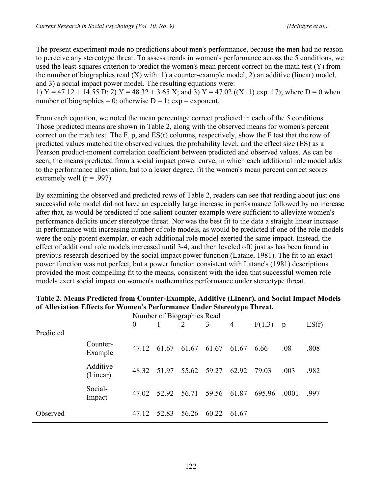The present experiment made no predictions about men's performance, because the men had no reason to perceive any stereotype threat. To assess trends in women's performance across the 5 conditions, we used the least-squares criterion to predict the women's mean percent correct on the math test (Y) from the number of biographies read  $(X)$  with: 1) a counter-example model, 2) an additive (linear) model, and 3) a social impact power model. The resulting equations were:

1) Y = 47.12 + 14.55 D; 2) Y = 48.32 + 3.65 X; and 3) Y = 47.02 ((X+1) exp .17); where D = 0 when number of biographies = 0; otherwise  $D = 1$ ; exp = exponent.

From each equation, we noted the mean percentage correct predicted in each of the 5 conditions. Those predicted means are shown in Table 2, along with the observed means for women's percent correct on the math test. The F, p, and  $ES(r)$  columns, respectively, show the F test that the row of predicted values matched the observed values, the probability level, and the effect size (ES) as a Pearson product-moment correlation coefficient between predicted and observed values. As can be seen, the means predicted from a social impact power curve, in which each additional role model adds to the performance alleviation, but to a lesser degree, fit the women's mean percent correct scores extremely well ( $r = .997$ ).

By examining the observed and predicted rows of Table 2, readers can see that reading about just one successful role model did not have an especially large increase in performance followed by no increase after that, as would be predicted if one salient counter-example were sufficient to alleviate women's performance deficits under stereotype threat. Nor was the best fit to the data a straight linear increase in performance with increasing number of role models, as would be predicted if one of the role models were the only potent exemplar, or each additional role model exerted the same impact. Instead, the effect of additional role models increased until 3-4, and then leveled off, just as has been found in previous research described by the social impact power function (Latane, 1981). The fit to an exact power function was not perfect, but a power function consistent with Latane's (1981) descriptions provided the most compelling fit to the means, consistent with the idea that successful women role models exert social impact on women's mathematics performance under stereotype threat.

| <u>of this called mixels for a silicit substituative climat stervolepe throam</u> |                      |                            |                               |       |                   |       |        |       |       |
|-----------------------------------------------------------------------------------|----------------------|----------------------------|-------------------------------|-------|-------------------|-------|--------|-------|-------|
|                                                                                   |                      | Number of Biographies Read |                               |       |                   |       |        |       |       |
|                                                                                   |                      | $\overline{0}$             |                               | 2     | 3                 | 4     | F(1,3) | p     | ES(r) |
| Predicted                                                                         |                      |                            |                               |       |                   |       |        |       |       |
|                                                                                   | Counter-<br>Example  |                            | 47.12 61.67 61.67 61.67 61.67 |       |                   |       | 6.66   | .08   | .808  |
|                                                                                   | Additive<br>(Linear) |                            | 48.32 51.97 55.62 59.27 62.92 |       |                   |       | 79.03  | .003  | .982  |
|                                                                                   | Social-<br>Impact    | 47.02                      | 52.92                         |       | 56.71 59.56 61.87 |       | 695.96 | .0001 | .997  |
| Observed                                                                          |                      | 47 12                      | 52.83                         | 56.26 | 60.22             | 61.67 |        |       |       |

### **Table 2. Means Predicted from Counter-Example, Additive (Linear), and Social Impact Models of Alleviation Effects for Women's Performance Under Stereotype Threat.**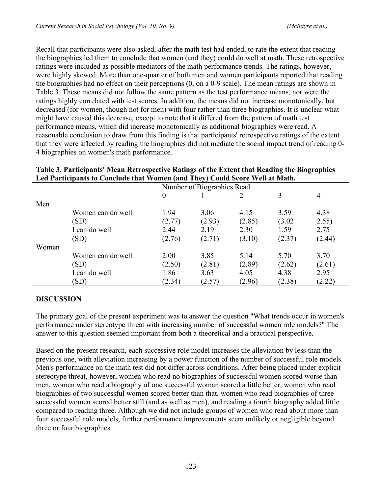Recall that participants were also asked, after the math test had ended, to rate the extent that reading the biographies led them to conclude that women (and they) could do well at math. These retrospective ratings were included as possible mediators of the math performance trends. The ratings, however, were highly skewed. More than one-quarter of both men and women participants reported that reading the biographies had no effect on their perceptions (0, on a 0-9 scale). The mean ratings are shown in Table 3. These means did not follow the same pattern as the test performance means, nor were the ratings highly correlated with test scores. In addition, the means did not increase monotonically, but decreased (for women, though not for men) with four rather than three biographies. It is unclear what might have caused this decrease, except to note that it differed from the pattern of math test performance means, which did increase monotonically as additional biographies were read. A reasonable conclusion to draw from this finding is that participants' retrospective ratings of the extent that they were affected by reading the biographies did not mediate the social impact trend of reading 0- 4 biographies on women's math performance.

| Led Farticipants to Conclude that Women (and They) Could Score Well at Math. |                   |          |                            |        |        |        |  |  |
|------------------------------------------------------------------------------|-------------------|----------|----------------------------|--------|--------|--------|--|--|
|                                                                              |                   |          | Number of Biographies Read |        |        |        |  |  |
|                                                                              |                   | $\theta$ |                            |        | 3      | 4      |  |  |
| Men                                                                          |                   |          |                            |        |        |        |  |  |
|                                                                              | Women can do well | 1.94     | 3.06                       | 4.15   | 3.59   | 4.38   |  |  |
|                                                                              | (SD)              | (2.77)   | (2.93)                     | (2.85) | (3.02) | 2.55)  |  |  |
|                                                                              | I can do well     | 2.44     | 2.19                       | 2.30   | 1.59   | 2.75   |  |  |
|                                                                              | (SD)              | (2.76)   | (2.71)                     | (3.10) | (2.37) | (2.44) |  |  |
| Women                                                                        |                   |          |                            |        |        |        |  |  |
|                                                                              | Women can do well | 2.00     | 3.85                       | 5.14   | 5.70   | 3.70   |  |  |
|                                                                              | (SD)              | (2.50)   | (2.81)                     | (2.89) | (2.62) | (2.61) |  |  |
|                                                                              | I can do well     | 1.86     | 3.63                       | 4.05   | 4.38   | 2.95   |  |  |
|                                                                              | (SD)              | (2.34)   | (2.57)                     | (2.96) | (2.38) | (2.22) |  |  |

### **Table 3. Participants' Mean Retrospective Ratings of the Extent that Reading the Biographies Led Participants to Conclude that Women (and They) Could Score Well at Math.**

### **DISCUSSION**

The primary goal of the present experiment was to answer the question "What trends occur in women's performance under stereotype threat with increasing number of successful women role models?" The answer to this question seemed important from both a theoretical and a practical perspective.

Based on the present research, each successive role model increases the alleviation by less than the previous one, with alleviation increasing by a power function of the number of successful role models. Men's performance on the math test did not differ across conditions. After being placed under explicit stereotype threat, however, women who read no biographies of successful women scored worse than men, women who read a biography of one successful woman scored a little better, women who read biographies of two successful women scored better than that, women who read biographies of three successful women scored better still (and as well as men), and reading a fourth biography added little compared to reading three. Although we did not include groups of women who read about more than four successful role models, further performance improvements seem unlikely or negligible beyond three or four biographies.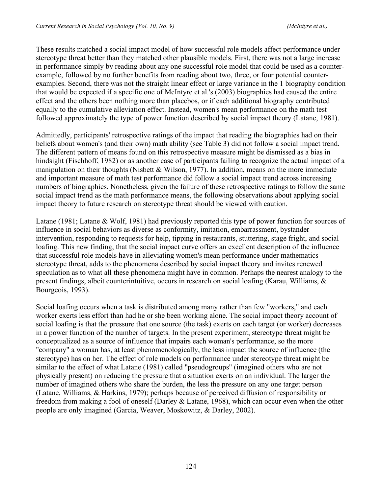These results matched a social impact model of how successful role models affect performance under stereotype threat better than they matched other plausible models. First, there was not a large increase in performance simply by reading about any one successful role model that could be used as a counterexample, followed by no further benefits from reading about two, three, or four potential counterexamples. Second, there was not the straight linear effect or large variance in the 1 biography condition that would be expected if a specific one of McIntyre et al.'s (2003) biographies had caused the entire effect and the others been nothing more than placebos, or if each additional biography contributed equally to the cumulative alleviation effect. Instead, women's mean performance on the math test followed approximately the type of power function described by social impact theory (Latane, 1981).

Admittedly, participants' retrospective ratings of the impact that reading the biographies had on their beliefs about women's (and their own) math ability (see Table 3) did not follow a social impact trend. The different pattern of means found on this retrospective measure might be dismissed as a bias in hindsight (Fischhoff, 1982) or as another case of participants failing to recognize the actual impact of a manipulation on their thoughts (Nisbett & Wilson, 1977). In addition, means on the more immediate and important measure of math test performance did follow a social impact trend across increasing numbers of biographies. Nonetheless, given the failure of these retrospective ratings to follow the same social impact trend as the math performance means, the following observations about applying social impact theory to future research on stereotype threat should be viewed with caution.

Latane (1981; Latane & Wolf, 1981) had previously reported this type of power function for sources of influence in social behaviors as diverse as conformity, imitation, embarrassment, bystander intervention, responding to requests for help, tipping in restaurants, stuttering, stage fright, and social loafing. This new finding, that the social impact curve offers an excellent description of the influence that successful role models have in alleviating women's mean performance under mathematics stereotype threat, adds to the phenomena described by social impact theory and invites renewed speculation as to what all these phenomena might have in common. Perhaps the nearest analogy to the present findings, albeit counterintuitive, occurs in research on social loafing (Karau, Williams, & Bourgeois, 1993).

Social loafing occurs when a task is distributed among many rather than few "workers," and each worker exerts less effort than had he or she been working alone. The social impact theory account of social loafing is that the pressure that one source (the task) exerts on each target (or worker) decreases in a power function of the number of targets. In the present experiment, stereotype threat might be conceptualized as a source of influence that impairs each woman's performance, so the more "company" a woman has, at least phenomenologically, the less impact the source of influence (the stereotype) has on her. The effect of role models on performance under stereotype threat might be similar to the effect of what Latane (1981) called "pseudogroups" (imagined others who are not physically present) on reducing the pressure that a situation exerts on an individual. The larger the number of imagined others who share the burden, the less the pressure on any one target person (Latane, Williams, & Harkins, 1979); perhaps because of perceived diffusion of responsibility or freedom from making a fool of oneself (Darley & Latane, 1968), which can occur even when the other people are only imagined (Garcia, Weaver, Moskowitz, & Darley, 2002).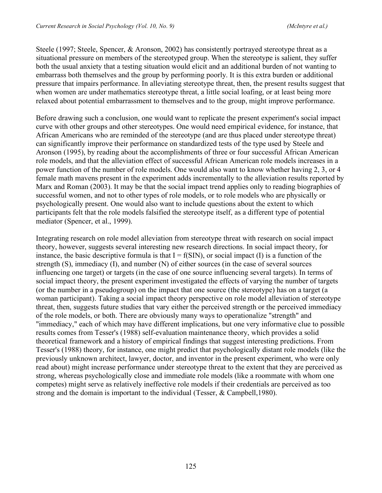Steele (1997; Steele, Spencer, & Aronson, 2002) has consistently portrayed stereotype threat as a situational pressure on members of the stereotyped group. When the stereotype is salient, they suffer both the usual anxiety that a testing situation would elicit and an additional burden of not wanting to embarrass both themselves and the group by performing poorly. It is this extra burden or additional pressure that impairs performance. In alleviating stereotype threat, then, the present results suggest that when women are under mathematics stereotype threat, a little social loafing, or at least being more relaxed about potential embarrassment to themselves and to the group, might improve performance.

Before drawing such a conclusion, one would want to replicate the present experiment's social impact curve with other groups and other stereotypes. One would need empirical evidence, for instance, that African Americans who are reminded of the stereotype (and are thus placed under stereotype threat) can significantly improve their performance on standardized tests of the type used by Steele and Aronson (1995), by reading about the accomplishments of three or four successful African American role models, and that the alleviation effect of successful African American role models increases in a power function of the number of role models. One would also want to know whether having 2, 3, or 4 female math mavens present in the experiment adds incrementally to the alleviation results reported by Marx and Roman (2003). It may be that the social impact trend applies only to reading biographies of successful women, and not to other types of role models, or to role models who are physically or psychologically present. One would also want to include questions about the extent to which participants felt that the role models falsified the stereotype itself, as a different type of potential mediator (Spencer, et al., 1999).

Integrating research on role model alleviation from stereotype threat with research on social impact theory, however, suggests several interesting new research directions. In social impact theory, for instance, the basic descriptive formula is that  $I = f(SIN)$ , or social impact (I) is a function of the strength (S), immediacy (I), and number (N) of either sources (in the case of several sources influencing one target) or targets (in the case of one source influencing several targets). In terms of social impact theory, the present experiment investigated the effects of varying the number of targets (or the number in a pseudogroup) on the impact that one source (the stereotype) has on a target (a woman participant). Taking a social impact theory perspective on role model alleviation of stereotype threat, then, suggests future studies that vary either the perceived strength or the perceived immediacy of the role models, or both. There are obviously many ways to operationalize "strength" and "immediacy," each of which may have different implications, but one very informative clue to possible results comes from Tesser's (1988) self-evaluation maintenance theory, which provides a solid theoretical framework and a history of empirical findings that suggest interesting predictions. From Tesser's (1988) theory, for instance, one might predict that psychologically distant role models (like the previously unknown architect, lawyer, doctor, and inventor in the present experiment, who were only read about) might increase performance under stereotype threat to the extent that they are perceived as strong, whereas psychologically close and immediate role models (like a roommate with whom one competes) might serve as relatively ineffective role models if their credentials are perceived as too strong and the domain is important to the individual (Tesser, & Campbell,1980).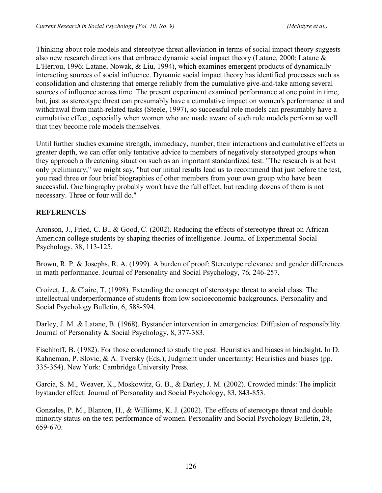Thinking about role models and stereotype threat alleviation in terms of social impact theory suggests also new research directions that embrace dynamic social impact theory (Latane, 2000; Latane & L'Herrou, 1996; Latane, Nowak, & Liu, 1994), which examines emergent products of dynamically interacting sources of social influence. Dynamic social impact theory has identified processes such as consolidation and clustering that emerge reliably from the cumulative give-and-take among several sources of influence across time. The present experiment examined performance at one point in time, but, just as stereotype threat can presumably have a cumulative impact on women's performance at and withdrawal from math-related tasks (Steele, 1997), so successful role models can presumably have a cumulative effect, especially when women who are made aware of such role models perform so well that they become role models themselves.

Until further studies examine strength, immediacy, number, their interactions and cumulative effects in greater depth, we can offer only tentative advice to members of negatively stereotyped groups when they approach a threatening situation such as an important standardized test. "The research is at best only preliminary," we might say, "but our initial results lead us to recommend that just before the test, you read three or four brief biographies of other members from your own group who have been successful. One biography probably won't have the full effect, but reading dozens of them is not necessary. Three or four will do."

### **REFERENCES**

Aronson, J., Fried, C. B., & Good, C. (2002). Reducing the effects of stereotype threat on African American college students by shaping theories of intelligence. Journal of Experimental Social Psychology, 38, 113-125.

Brown, R. P. & Josephs, R. A. (1999). A burden of proof: Stereotype relevance and gender differences in math performance. Journal of Personality and Social Psychology, 76, 246-257.

Croizet, J., & Claire, T. (1998). Extending the concept of stereotype threat to social class: The intellectual underperformance of students from low socioeconomic backgrounds. Personality and Social Psychology Bulletin, 6, 588-594.

Darley, J. M. & Latane, B. (1968). Bystander intervention in emergencies: Diffusion of responsibility. Journal of Personality & Social Psychology, 8, 377-383.

Fischhoff, B. (1982). For those condemned to study the past: Heuristics and biases in hindsight. In D. Kahneman, P. Slovic, & A. Tversky (Eds.), Judgment under uncertainty: Heuristics and biases (pp. 335-354). New York: Cambridge University Press.

Garcia, S. M., Weaver, K., Moskowitz, G. B., & Darley, J. M. (2002). Crowded minds: The implicit bystander effect. Journal of Personality and Social Psychology, 83, 843-853.

Gonzales, P. M., Blanton, H., & Williams, K. J. (2002). The effects of stereotype threat and double minority status on the test performance of women. Personality and Social Psychology Bulletin, 28, 659-670.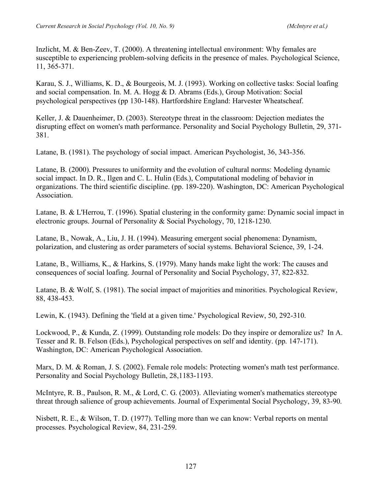Inzlicht, M. & Ben-Zeev, T. (2000). A threatening intellectual environment: Why females are susceptible to experiencing problem-solving deficits in the presence of males. Psychological Science, 11, 365-371.

Karau, S. J., Williams, K. D., & Bourgeois, M. J. (1993). Working on collective tasks: Social loafing and social compensation. In. M. A. Hogg & D. Abrams (Eds.), Group Motivation: Social psychological perspectives (pp 130-148). Hartfordshire England: Harvester Wheatscheaf.

Keller, J. & Dauenheimer, D. (2003). Stereotype threat in the classroom: Dejection mediates the disrupting effect on women's math performance. Personality and Social Psychology Bulletin, 29, 371- 381.

Latane, B. (1981). The psychology of social impact. American Psychologist, 36, 343-356.

Latane, B. (2000). Pressures to uniformity and the evolution of cultural norms: Modeling dynamic social impact. In D. R., Ilgen and C. L. Hulin (Eds.), Computational modeling of behavior in organizations. The third scientific discipline. (pp. 189-220). Washington, DC: American Psychological Association.

Latane, B. & L'Herrou, T. (1996). Spatial clustering in the conformity game: Dynamic social impact in electronic groups. Journal of Personality & Social Psychology, 70, 1218-1230.

Latane, B., Nowak, A., Liu, J. H. (1994). Measuring emergent social phenomena: Dynamism, polarization, and clustering as order parameters of social systems. Behavioral Science, 39, 1-24.

Latane, B., Williams, K., & Harkins, S. (1979). Many hands make light the work: The causes and consequences of social loafing. Journal of Personality and Social Psychology, 37, 822-832.

Latane, B. & Wolf, S. (1981). The social impact of majorities and minorities. Psychological Review, 88, 438-453.

Lewin, K. (1943). Defining the 'field at a given time.' Psychological Review, 50, 292-310.

Lockwood, P., & Kunda, Z. (1999). Outstanding role models: Do they inspire or demoralize us? In A. Tesser and R. B. Felson (Eds.), Psychological perspectives on self and identity. (pp. 147-171). Washington, DC: American Psychological Association.

Marx, D. M. & Roman, J. S. (2002). Female role models: Protecting women's math test performance. Personality and Social Psychology Bulletin, 28,1183-1193.

McIntyre, R. B., Paulson, R. M., & Lord, C. G. (2003). Alleviating women's mathematics stereotype threat through salience of group achievements. Journal of Experimental Social Psychology, 39, 83-90.

Nisbett, R. E., & Wilson, T. D. (1977). Telling more than we can know: Verbal reports on mental processes. Psychological Review, 84, 231-259.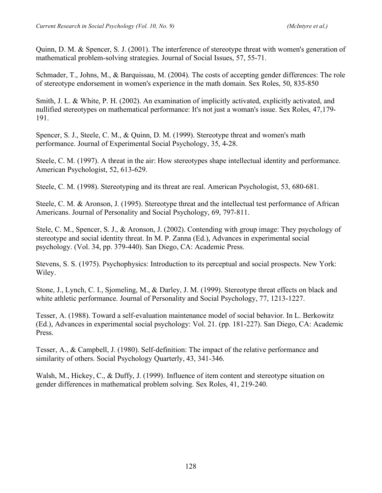Quinn, D. M. & Spencer, S. J. (2001). The interference of stereotype threat with women's generation of mathematical problem-solving strategies. Journal of Social Issues, 57, 55-71.

Schmader, T., Johns, M., & Barquissau, M. (2004). The costs of accepting gender differences: The role of stereotype endorsement in women's experience in the math domain. Sex Roles, 50, 835-850

Smith, J. L. & White, P. H. (2002). An examination of implicitly activated, explicitly activated, and nullified stereotypes on mathematical performance: It's not just a woman's issue. Sex Roles, 47,179- 191.

Spencer, S. J., Steele, C. M., & Quinn, D. M. (1999). Stereotype threat and women's math performance. Journal of Experimental Social Psychology, 35, 4-28.

Steele, C. M. (1997). A threat in the air: How stereotypes shape intellectual identity and performance. American Psychologist, 52, 613-629.

Steele, C. M. (1998). Stereotyping and its threat are real. American Psychologist, 53, 680-681.

Steele, C. M. & Aronson, J. (1995). Stereotype threat and the intellectual test performance of African Americans. Journal of Personality and Social Psychology, 69, 797-811.

Stele, C. M., Spencer, S. J., & Aronson, J. (2002). Contending with group image: They psychology of stereotype and social identity threat. In M. P. Zanna (Ed.), Advances in experimental social psychology. (Vol. 34, pp. 379-440). San Diego, CA: Academic Press.

Stevens, S. S. (1975). Psychophysics: Introduction to its perceptual and social prospects. New York: Wiley.

Stone, J., Lynch, C. I., Sjomeling, M., & Darley, J. M. (1999). Stereotype threat effects on black and white athletic performance. Journal of Personality and Social Psychology, 77, 1213-1227.

Tesser, A. (1988). Toward a self-evaluation maintenance model of social behavior. In L. Berkowitz (Ed.), Advances in experimental social psychology: Vol. 21. (pp. 181-227). San Diego, CA: Academic Press.

Tesser, A., & Campbell, J. (1980). Self-definition: The impact of the relative performance and similarity of others. Social Psychology Quarterly, 43, 341-346.

Walsh, M., Hickey, C., & Duffy, J. (1999). Influence of item content and stereotype situation on gender differences in mathematical problem solving. Sex Roles, 41, 219-240.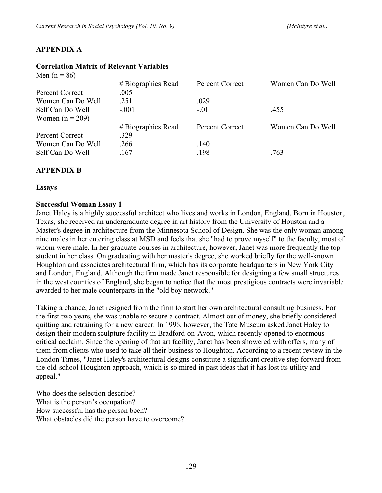| <b>Correlation Matrix of Relevant Variables</b> |                    |                 |                   |  |  |  |  |
|-------------------------------------------------|--------------------|-----------------|-------------------|--|--|--|--|
| Men $(n = 86)$                                  |                    |                 |                   |  |  |  |  |
|                                                 | # Biographies Read | Percent Correct | Women Can Do Well |  |  |  |  |
| Percent Correct                                 | .005               |                 |                   |  |  |  |  |
| Women Can Do Well                               | .251               | .029            |                   |  |  |  |  |
| Self Can Do Well                                | $-.001$            | $-.01$          | .455              |  |  |  |  |
| Women $(n = 209)$                               |                    |                 |                   |  |  |  |  |
|                                                 | # Biographies Read | Percent Correct | Women Can Do Well |  |  |  |  |
| Percent Correct                                 | .329               |                 |                   |  |  |  |  |
| Women Can Do Well                               | .266               | .140            |                   |  |  |  |  |
| Self Can Do Well                                | .167               | .198            | .763              |  |  |  |  |

### **APPENDIX A**

### **APPENDIX B**

### **Essays**

### **Successful Woman Essay 1**

Janet Haley is a highly successful architect who lives and works in London, England. Born in Houston, Texas, she received an undergraduate degree in art history from the University of Houston and a Master's degree in architecture from the Minnesota School of Design. She was the only woman among nine males in her entering class at MSD and feels that she "had to prove myself" to the faculty, most of whom were male. In her graduate courses in architecture, however, Janet was more frequently the top student in her class. On graduating with her master's degree, she worked briefly for the well-known Houghton and associates architectural firm, which has its corporate headquarters in New York City and London, England. Although the firm made Janet responsible for designing a few small structures in the west counties of England, she began to notice that the most prestigious contracts were invariable awarded to her male counterparts in the "old boy network."

Taking a chance, Janet resigned from the firm to start her own architectural consulting business. For the first two years, she was unable to secure a contract. Almost out of money, she briefly considered quitting and retraining for a new career. In 1996, however, the Tate Museum asked Janet Haley to design their modern sculpture facility in Bradford-on-Avon, which recently opened to enormous critical acclaim. Since the opening of that art facility, Janet has been showered with offers, many of them from clients who used to take all their business to Houghton. According to a recent review in the London Times, "Janet Haley's architectural designs constitute a significant creative step forward from the old-school Houghton approach, which is so mired in past ideas that it has lost its utility and appeal."

Who does the selection describe? What is the person's occupation? How successful has the person been? What obstacles did the person have to overcome?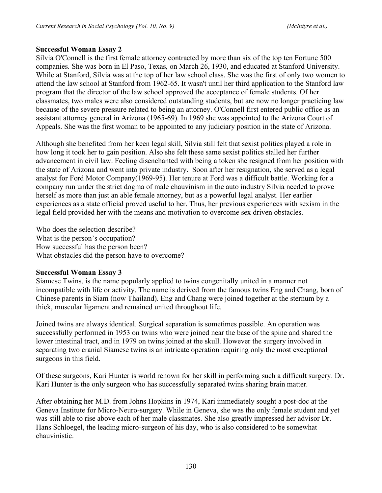### **Successful Woman Essay 2**

Silvia O'Connell is the first female attorney contracted by more than six of the top ten Fortune 500 companies. She was born in El Paso, Texas, on March 26, 1930, and educated at Stanford University. While at Stanford, Silvia was at the top of her law school class. She was the first of only two women to attend the law school at Stanford from 1962-65. It wasn't until her third application to the Stanford law program that the director of the law school approved the acceptance of female students. Of her classmates, two males were also considered outstanding students, but are now no longer practicing law because of the severe pressure related to being an attorney. O'Connell first entered public office as an assistant attorney general in Arizona (1965-69). In 1969 she was appointed to the Arizona Court of Appeals. She was the first woman to be appointed to any judiciary position in the state of Arizona.

Although she benefited from her keen legal skill, Silvia still felt that sexist politics played a role in how long it took her to gain position. Also she felt these same sexist politics stalled her further advancement in civil law. Feeling disenchanted with being a token she resigned from her position with the state of Arizona and went into private industry. Soon after her resignation, she served as a legal analyst for Ford Motor Company(1969-95). Her tenure at Ford was a difficult battle. Working for a company run under the strict dogma of male chauvinism in the auto industry Silvia needed to prove herself as more than just an able female attorney, but as a powerful legal analyst. Her earlier experiences as a state official proved useful to her. Thus, her previous experiences with sexism in the legal field provided her with the means and motivation to overcome sex driven obstacles.

Who does the selection describe? What is the person's occupation? How successful has the person been? What obstacles did the person have to overcome?

#### **Successful Woman Essay 3**

Siamese Twins, is the name popularly applied to twins congenitally united in a manner not incompatible with life or activity. The name is derived from the famous twins Eng and Chang, born of Chinese parents in Siam (now Thailand). Eng and Chang were joined together at the sternum by a thick, muscular ligament and remained united throughout life.

Joined twins are always identical. Surgical separation is sometimes possible. An operation was successfully performed in 1953 on twins who were joined near the base of the spine and shared the lower intestinal tract, and in 1979 on twins joined at the skull. However the surgery involved in separating two cranial Siamese twins is an intricate operation requiring only the most exceptional surgeons in this field.

Of these surgeons, Kari Hunter is world renown for her skill in performing such a difficult surgery. Dr. Kari Hunter is the only surgeon who has successfully separated twins sharing brain matter.

After obtaining her M.D. from Johns Hopkins in 1974, Kari immediately sought a post-doc at the Geneva Institute for Micro-Neuro-surgery. While in Geneva, she was the only female student and yet was still able to rise above each of her male classmates. She also greatly impressed her advisor Dr. Hans Schloegel, the leading micro-surgeon of his day, who is also considered to be somewhat chauvinistic.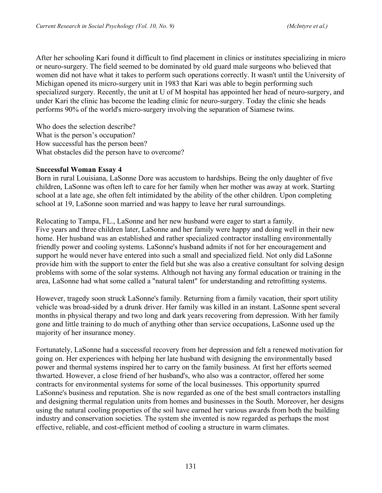After her schooling Kari found it difficult to find placement in clinics or institutes specializing in micro or neuro-surgery. The field seemed to be dominated by old guard male surgeons who believed that women did not have what it takes to perform such operations correctly. It wasn't until the University of Michigan opened its micro-surgery unit in 1983 that Kari was able to begin performing such specialized surgery. Recently, the unit at U of M hospital has appointed her head of neuro-surgery, and under Kari the clinic has become the leading clinic for neuro-surgery. Today the clinic she heads performs 90% of the world's micro-surgery involving the separation of Siamese twins.

Who does the selection describe? What is the person's occupation? How successful has the person been? What obstacles did the person have to overcome?

### **Successful Woman Essay 4**

Born in rural Louisiana, LaSonne Dore was accustom to hardships. Being the only daughter of five children, LaSonne was often left to care for her family when her mother was away at work. Starting school at a late age, she often felt intimidated by the ability of the other children. Upon completing school at 19, LaSonne soon married and was happy to leave her rural surroundings.

Relocating to Tampa, FL., LaSonne and her new husband were eager to start a family. Five years and three children later, LaSonne and her family were happy and doing well in their new home. Her husband was an established and rather specialized contractor installing environmentally friendly power and cooling systems. LaSonne's husband admits if not for her encouragement and support he would never have entered into such a small and specialized field. Not only did LaSonne provide him with the support to enter the field but she was also a creative consultant for solving design problems with some of the solar systems. Although not having any formal education or training in the area, LaSonne had what some called a "natural talent" for understanding and retrofitting systems.

However, tragedy soon struck LaSonne's family. Returning from a family vacation, their sport utility vehicle was broad-sided by a drunk driver. Her family was killed in an instant. LaSonne spent several months in physical therapy and two long and dark years recovering from depression. With her family gone and little training to do much of anything other than service occupations, LaSonne used up the majority of her insurance money.

Fortunately, LaSonne had a successful recovery from her depression and felt a renewed motivation for going on. Her experiences with helping her late husband with designing the environmentally based power and thermal systems inspired her to carry on the family business. At first her efforts seemed thwarted. However, a close friend of her husband's, who also was a contractor, offered her some contracts for environmental systems for some of the local businesses. This opportunity spurred LaSonne's business and reputation. She is now regarded as one of the best small contractors installing and designing thermal regulation units from homes and businesses in the South. Moreover, her designs using the natural cooling properties of the soil have earned her various awards from both the building industry and conservation societies. The system she invented is now regarded as perhaps the most effective, reliable, and cost-efficient method of cooling a structure in warm climates.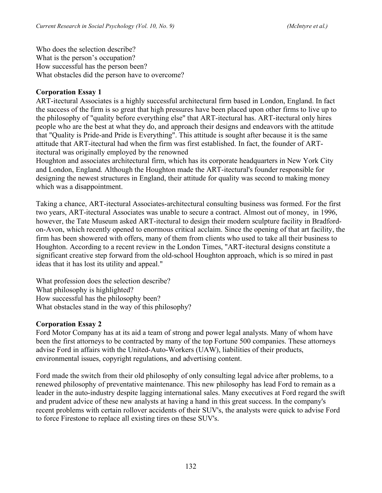Who does the selection describe? What is the person's occupation? How successful has the person been? What obstacles did the person have to overcome?

### **Corporation Essay 1**

ART-itectural Associates is a highly successful architectural firm based in London, England. In fact the success of the firm is so great that high pressures have been placed upon other firms to live up to the philosophy of "quality before everything else" that ART-itectural has. ART-itectural only hires people who are the best at what they do, and approach their designs and endeavors with the attitude that "Quality is Pride-and Pride is Everything". This attitude is sought after because it is the same attitude that ART-itectural had when the firm was first established. In fact, the founder of ARTitectural was originally employed by the renowned

Houghton and associates architectural firm, which has its corporate headquarters in New York City and London, England. Although the Houghton made the ART-itectural's founder responsible for designing the newest structures in England, their attitude for quality was second to making money which was a disappointment.

Taking a chance, ART-itectural Associates-architectural consulting business was formed. For the first two years, ART-itectural Associates was unable to secure a contract. Almost out of money, in 1996, however, the Tate Museum asked ART-itectural to design their modern sculpture facility in Bradfordon-Avon, which recently opened to enormous critical acclaim. Since the opening of that art facility, the firm has been showered with offers, many of them from clients who used to take all their business to Houghton. According to a recent review in the London Times, "ART-itectural designs constitute a significant creative step forward from the old-school Houghton approach, which is so mired in past ideas that it has lost its utility and appeal."

What profession does the selection describe? What philosophy is highlighted? How successful has the philosophy been? What obstacles stand in the way of this philosophy?

#### **Corporation Essay 2**

Ford Motor Company has at its aid a team of strong and power legal analysts. Many of whom have been the first attorneys to be contracted by many of the top Fortune 500 companies. These attorneys advise Ford in affairs with the United-Auto-Workers (UAW), liabilities of their products, environmental issues, copyright regulations, and advertising content.

Ford made the switch from their old philosophy of only consulting legal advice after problems, to a renewed philosophy of preventative maintenance. This new philosophy has lead Ford to remain as a leader in the auto-industry despite lagging international sales. Many executives at Ford regard the swift and prudent advice of these new analysts at having a hand in this great success. In the company's recent problems with certain rollover accidents of their SUV's, the analysts were quick to advise Ford to force Firestone to replace all existing tires on these SUV's.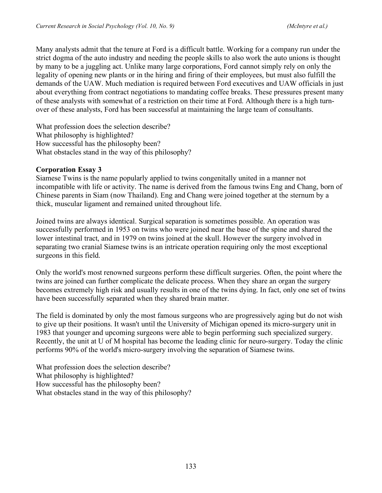Many analysts admit that the tenure at Ford is a difficult battle. Working for a company run under the strict dogma of the auto industry and needing the people skills to also work the auto unions is thought by many to be a juggling act. Unlike many large corporations, Ford cannot simply rely on only the legality of opening new plants or in the hiring and firing of their employees, but must also fulfill the demands of the UAW. Much mediation is required between Ford executives and UAW officials in just about everything from contract negotiations to mandating coffee breaks. These pressures present many of these analysts with somewhat of a restriction on their time at Ford. Although there is a high turnover of these analysts, Ford has been successful at maintaining the large team of consultants.

What profession does the selection describe? What philosophy is highlighted? How successful has the philosophy been? What obstacles stand in the way of this philosophy?

### **Corporation Essay 3**

Siamese Twins is the name popularly applied to twins congenitally united in a manner not incompatible with life or activity. The name is derived from the famous twins Eng and Chang, born of Chinese parents in Siam (now Thailand). Eng and Chang were joined together at the sternum by a thick, muscular ligament and remained united throughout life.

Joined twins are always identical. Surgical separation is sometimes possible. An operation was successfully performed in 1953 on twins who were joined near the base of the spine and shared the lower intestinal tract, and in 1979 on twins joined at the skull. However the surgery involved in separating two cranial Siamese twins is an intricate operation requiring only the most exceptional surgeons in this field.

Only the world's most renowned surgeons perform these difficult surgeries. Often, the point where the twins are joined can further complicate the delicate process. When they share an organ the surgery becomes extremely high risk and usually results in one of the twins dying. In fact, only one set of twins have been successfully separated when they shared brain matter.

The field is dominated by only the most famous surgeons who are progressively aging but do not wish to give up their positions. It wasn't until the University of Michigan opened its micro-surgery unit in 1983 that younger and upcoming surgeons were able to begin performing such specialized surgery. Recently, the unit at U of M hospital has become the leading clinic for neuro-surgery. Today the clinic performs 90% of the world's micro-surgery involving the separation of Siamese twins.

What profession does the selection describe? What philosophy is highlighted? How successful has the philosophy been? What obstacles stand in the way of this philosophy?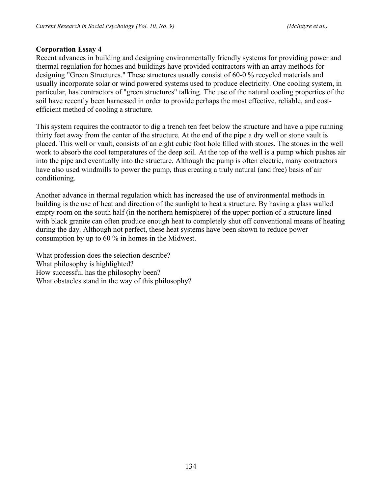#### **Corporation Essay 4**

Recent advances in building and designing environmentally friendly systems for providing power and thermal regulation for homes and buildings have provided contractors with an array methods for designing "Green Structures." These structures usually consist of 60-0 % recycled materials and usually incorporate solar or wind powered systems used to produce electricity. One cooling system, in particular, has contractors of "green structures" talking. The use of the natural cooling properties of the soil have recently been harnessed in order to provide perhaps the most effective, reliable, and costefficient method of cooling a structure.

This system requires the contractor to dig a trench ten feet below the structure and have a pipe running thirty feet away from the center of the structure. At the end of the pipe a dry well or stone vault is placed. This well or vault, consists of an eight cubic foot hole filled with stones. The stones in the well work to absorb the cool temperatures of the deep soil. At the top of the well is a pump which pushes air into the pipe and eventually into the structure. Although the pump is often electric, many contractors have also used windmills to power the pump, thus creating a truly natural (and free) basis of air conditioning.

Another advance in thermal regulation which has increased the use of environmental methods in building is the use of heat and direction of the sunlight to heat a structure. By having a glass walled empty room on the south half (in the northern hemisphere) of the upper portion of a structure lined with black granite can often produce enough heat to completely shut off conventional means of heating during the day. Although not perfect, these heat systems have been shown to reduce power consumption by up to 60 % in homes in the Midwest.

What profession does the selection describe? What philosophy is highlighted? How successful has the philosophy been? What obstacles stand in the way of this philosophy?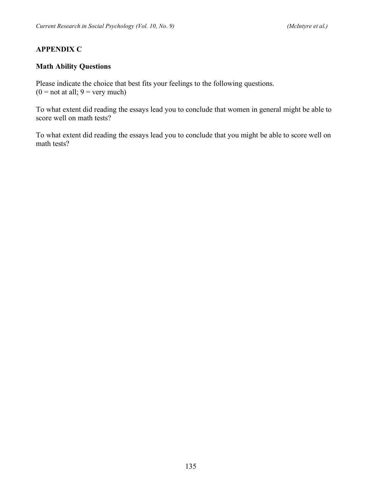### **APPENDIX C**

### **Math Ability Questions**

Please indicate the choice that best fits your feelings to the following questions.  $(0 = not at all; 9 = very much)$ 

To what extent did reading the essays lead you to conclude that women in general might be able to score well on math tests?

To what extent did reading the essays lead you to conclude that you might be able to score well on math tests?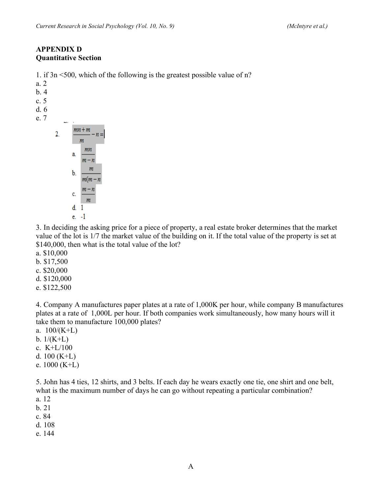### **APPENDIX D Quantitative Section**

1. if 3n <500, which of the following is the greatest possible value of n?

|             |    | . . | - 2 |                          |                |
|-------------|----|-----|-----|--------------------------|----------------|
| a. 2<br>b.4 |    |     |     |                          |                |
| c.5         |    |     |     |                          |                |
| d. 6        |    |     |     |                          |                |
| e. 7        |    |     |     |                          |                |
|             | 2. |     |     | $mn+m$<br>m              | n              |
|             |    |     | a.  | mn<br>$m - n$            |                |
|             |    |     | b.  | $\boldsymbol{m}$<br>m(m) | $\overline{n}$ |
|             |    |     | c.  | m – n<br>$\mathfrak{m}$  |                |
|             |    |     | d.  | 1                        |                |
|             |    |     | e.  | -1                       |                |
|             |    |     |     |                          |                |

3. In deciding the asking price for a piece of property, a real estate broker determines that the market value of the lot is 1/7 the market value of the building on it. If the total value of the property is set at \$140,000, then what is the total value of the lot?

- a. \$10,000
- b. \$17,500
- c. \$20,000
- d. \$120,000
- e. \$122,500

4. Company A manufactures paper plates at a rate of 1,000K per hour, while company B manufactures plates at a rate of 1,000L per hour. If both companies work simultaneously, how many hours will it take them to manufacture 100,000 plates?

- a.  $100/(K+L)$
- b.  $1/(K+L)$
- c. K+L/100
- d. 100 (K+L)
- e. 1000 (K+L)

5. John has 4 ties, 12 shirts, and 3 belts. If each day he wears exactly one tie, one shirt and one belt, what is the maximum number of days he can go without repeating a particular combination?

- a. 12
- b. 21
- c. 84
- d. 108
- e. 144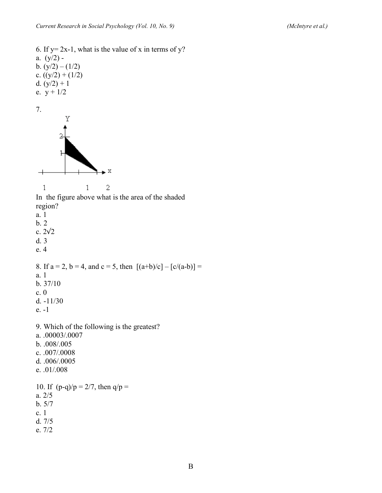6. If  $y=2x-1$ , what is the value of x in terms of y? a.  $(y/2)$  b.  $(y/2) - (1/2)$ c.  $((y/2) + (1/2))$ d.  $(y/2) + 1$ e.  $y + 1/2$ 7. Υ 1  $\rm X$  $\rightarrow$  $\mathbf{1}$  $\mathbf{1}$  $\overline{c}$ In the figure above what is the area of the shaded region? a. 1 b. 2 c. 2√2 d. 3 e. 4 8. If  $a = 2$ ,  $b = 4$ , and  $c = 5$ , then  $[(a+b)/c] - [c/(a-b)] =$ a. 1 b. 37/10 c. 0 d. -11/30 e. -1 9. Which of the following is the greatest? a. .00003/.0007 b. .008/.005 c. .007/.0008 d. .006/.0005 e. .01/.008 10. If  $(p-q)/p = 2/7$ , then  $q/p =$ a. 2/5 b. 5/7 c. 1 d. 7/5 e. 7/2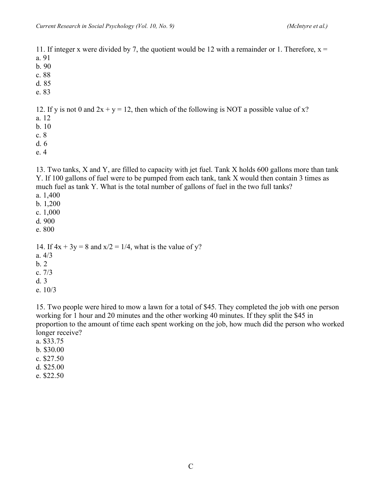11. If integer x were divided by 7, the quotient would be 12 with a remainder or 1. Therefore,  $x =$ a. 91

- b. 90
- c. 88
- d. 85
- e. 83

12. If y is not 0 and  $2x + y = 12$ , then which of the following is NOT a possible value of x?

- a. 12
- b. 10
- c. 8
- d. 6
- e. 4

13. Two tanks, X and Y, are filled to capacity with jet fuel. Tank X holds 600 gallons more than tank Y. If 100 gallons of fuel were to be pumped from each tank, tank X would then contain 3 times as much fuel as tank Y. What is the total number of gallons of fuel in the two full tanks?

- a. 1,400
- b. 1,200
- c. 1,000
- d. 900
- e. 800

14. If  $4x + 3y = 8$  and  $x/2 = 1/4$ , what is the value of y?

- a. 4/3
- b. 2
- c. 7/3
- d. 3
- e. 10/3

15. Two people were hired to mow a lawn for a total of \$45. They completed the job with one person working for 1 hour and 20 minutes and the other working 40 minutes. If they split the \$45 in proportion to the amount of time each spent working on the job, how much did the person who worked longer receive?

- a. \$33.75
- b. \$30.00
- c. \$27.50
- d. \$25.00
- e. \$22.50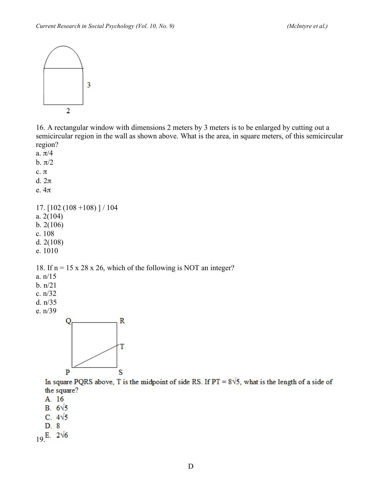

16. A rectangular window with dimensions 2 meters by 3 meters is to be enlarged by cutting out a semicircular region in the wall as shown above. What is the area, in square meters, of this semicircular region?

a.  $\pi/4$ b.  $\pi/2$ 

c. π

d. 2π

e. 4π

17. [102 (108 +108) ] / 104 a. 2(104) b. 2(106) c. 108 d. 2(108) e. 1010

18. If  $n = 15 \times 28 \times 26$ , which of the following is NOT an integer?

a. n/15

b. n/21

c. n/32

d. n/35

e. n/39



In square PQRS above, T is the midpoint of side RS. If  $PT = 8\sqrt{5}$ , what is the length of a side of the square?

A. 16

B.  $6\sqrt{5}$ 

C.  $4\sqrt{5}$ 

 $D.8$ 

 $19^{E.}$  2 $\sqrt{6}$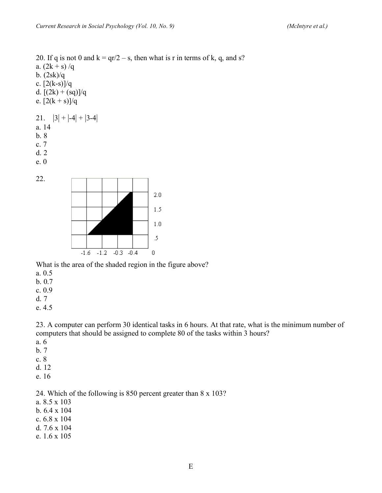20. If q is not 0 and  $k = \frac{qr}{2} - s$ , then what is r in terms of k, q, and s? a.  $(2k + s)/q$ b. (2sk)/q c.  $[2(k-s)]/q$ d.  $[(2k) + (sq)]/q$ e.  $[2(k + s)]/q$ 21.  $|3| + |-4| + |3-4|$ a. 14 b. 8 c. 7 d. 2 e. 0 22.



What is the area of the shaded region in the figure above?

- a. 0.5
- b. 0.7
- c. 0.9
- d. 7
- e. 4.5

23. A computer can perform 30 identical tasks in 6 hours. At that rate, what is the minimum number of computers that should be assigned to complete 80 of the tasks within 3 hours?

- a. 6
- b. 7
- c. 8
- d. 12
- e. 16

24. Which of the following is 850 percent greater than 8 x 103?

- a. 8.5 x 103
- b. 6.4 x 104
- c. 6.8 x 104
- d. 7.6 x 104
- e. 1.6 x 105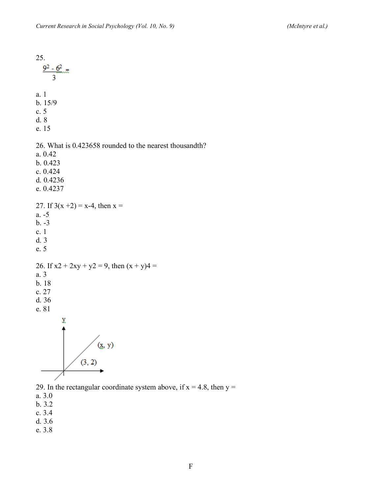25.<br> $rac{9^2-6^2}{3}$ a. 1 b. 15/9 c. 5 d. 8 e. 15 26. What is 0.423658 rounded to the nearest thousandth? a. 0.42 b. 0.423 c. 0.424 d. 0.4236 e. 0.4237 27. If  $3(x + 2) = x-4$ , then  $x =$ a. -5 b. -3 c. 1 d. 3 e. 5 26. If  $x^2 + 2xy + y^2 = 9$ , then  $(x + y)^4 =$ a. 3 b. 18 c. 27 d. 36 e. 81 y.  $(x, y)$  $(3, 2)$ 29. In the rectangular coordinate system above, if  $x = 4.8$ , then  $y =$ 

a. 3.0

- b. 3.2
- c. 3.4
- d. 3.6
- e. 3.8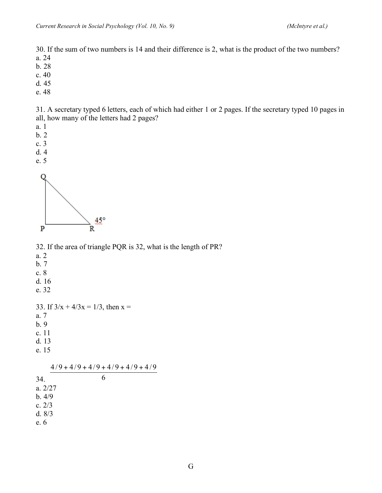30. If the sum of two numbers is 14 and their difference is 2, what is the product of the two numbers? a. 24

- b. 28
- c. 40
- d. 45
- e. 48

31. A secretary typed 6 letters, each of which had either 1 or 2 pages. If the secretary typed 10 pages in all, how many of the letters had 2 pages?

- a. 1
- b. 2
- c. 3
- d. 4
- e. 5



32. If the area of triangle PQR is 32, what is the length of PR?

- a. 2 b. 7
- c. 8
- d. 16
- e. 32

33. If  $3/x + 4/3x = 1/3$ , then  $x =$ 

a. 7

- b. 9
- c. 11
- d. 13
- e. 15

34. 6  $4/9 + 4/9 + 4/9 + 4/9 + 4/9 + 4/9$ a. 2/27 b. 4/9 c. 2/3 d. 8/3 e. 6